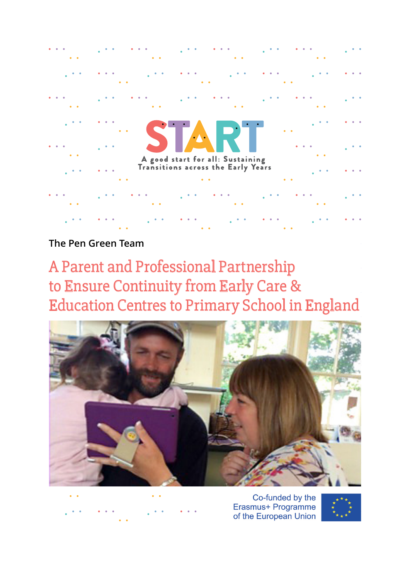

**The Pen Green Team**

A Parent and Professional Partnership to Ensure Continuity from Early Care & Education Centres to Primary School in England



Co-funded by the Erasmus+ Programme of the European Union

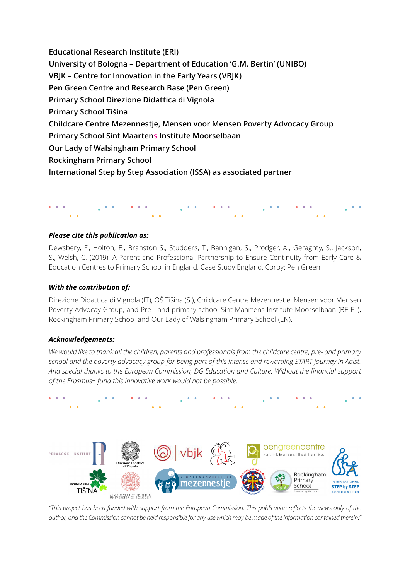**Educational Research Institute (ERI) University of Bologna – Department of Education 'G.M. Bertin' (UNIBO) VBJK – Centre for Innovation in the Early Years (VBJK) Pen Green Centre and Research Base (Pen Green) Primary School Direzione Didattica di Vignola Primary School Tišina Childcare Centre Mezennestje, Mensen voor Mensen Poverty Advocacy Group Primary School Sint Maartens Institute Moorselbaan Our Lady of Walsingham Primary School Rockingham Primary School International Step by Step Association (ISSA) as associated partner**

### *Please cite this publication as:*

Dewsbery, F., Holton, E., Branston S., Studders, T., Bannigan, S., Prodger, A., Geraghty, S., Jackson, S., Welsh, C. (2019). A Parent and Professional Partnership to Ensure Continuity from Early Care & Education Centres to Primary School in England. Case Study England. Corby: Pen Green

#### *With the contribution of:*

Direzione Didattica di Vignola (IT), OŠ Tišina (SI), Childcare Centre Mezennestje, Mensen voor Mensen Poverty Advocay Group, and Pre - and primary school Sint Maartens Institute Moorselbaan (BE FL), Rockingham Primary School and Our Lady of Walsingham Primary School (EN).

#### *Acknowledgements:*

*We would like to thank all the children, parents and professionals from the childcare centre, pre- and primary school and the poverty advocacy group for being part of this intense and rewarding START journey in Aalst. And special thanks to the European Commission, DG Education and Culture. Without the financial support of the Erasmus+ fund this innovative work would not be possible.*



*"This project has been funded with support from the European Commission. This publication reflects the views only of the author, and the Commission cannot be held responsible for any use which may be made of the information contained therein."*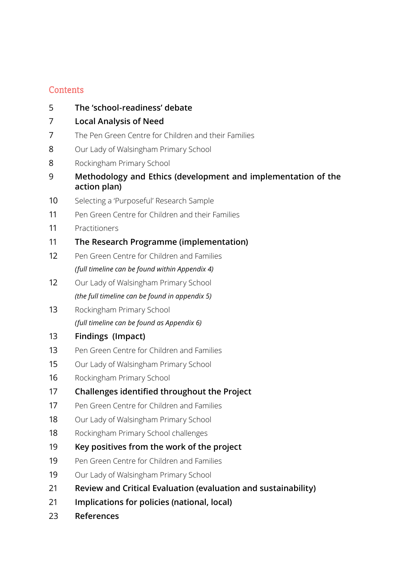# **Contents**

- **[The 'school-readiness' debate](#page-4-0)**
- **[Local Analysis of Need](#page-6-0)**
- [The Pen Green Centre for Children and their Families](#page-6-0)
- [Our Lady of Walsingham Primary School](#page-7-0)
- Rockingham Primary School
- **[Methodology and Ethics \(development and implementation of the](#page-8-0) [action plan\)](#page-8-0)**
- [Selecting a 'Purposeful' Research Sample](#page-9-0)
- Pen Green Centre for Children and their Families
- [Practitioners](#page-10-0)
- **[The Research Programme \(implementation\)](#page-10-0)**
- [Pen Green Centre for Children and Families](#page-11-0) *[\(full timeline can be found within Appendix 4\)](#page-11-0)*
- [Our Lady of Walsingham Primary School](#page-11-0) *[\(the full timeline can be found in appendix 5\)](#page-11-0)*
- 13 Rockingham Primary School *[\(full timeline can be found as Appendix 6\)](#page-12-0)*
- **[Findings \(Impact\)](#page-12-0)**
- Pen Green Centre for Children and Families
- Our Lady of Walsingham Primary School
- 16 Rockingham Primary School
- **[Challenges identified throughout the Project](#page-16-0)**
- Pen Green Centre for Children and Families
- Our Lady of Walsingham Primary School
- [Rockingham Primary School challenges](#page-17-0)
- **[Key positives from the work of the project](#page-18-0)**
- Pen Green Centre for Children and Families
- Our Lady of Walsingham Primary School
- **[Review and Critical Evaluation \(evaluation and sustainability\)](#page-20-0)**
- **[Implications for policies \(national, local\)](#page-20-0)**
- **[References](#page-22-0)**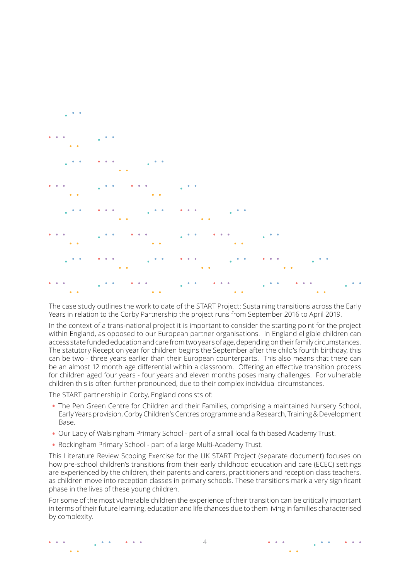

The case study outlines the work to date of the START Project: Sustaining transitions across the Early Years in relation to the Corby Partnership the project runs from September 2016 to April 2019.

In the context of a trans-national project it is important to consider the starting point for the project within England, as opposed to our European partner organisations. In England eligible children can access state funded education and care from two years of age, depending on their family circumstances. The statutory Reception year for children begins the September after the child's fourth birthday, this can be two - three years earlier than their European counterparts. This also means that there can be an almost 12 month age differential within a classroom. Offering an effective transition process for children aged four years - four years and eleven months poses many challenges. For vulnerable children this is often further pronounced, due to their complex individual circumstances.

The START partnership in Corby, England consists of:

- The Pen Green Centre for Children and their Families, comprising a maintained Nursery School, Early Years provision, Corby Children's Centres programme and a Research, Training & Development Base.
- Our Lady of Walsingham Primary School part of a small local faith based Academy Trust.
- Rockingham Primary School part of a large Multi-Academy Trust.

This Literature Review Scoping Exercise for the UK START Project (separate document) focuses on how pre-school children's transitions from their early childhood education and care (ECEC) settings are experienced by the children, their parents and carers, practitioners and reception class teachers, as children move into reception classes in primary schools. These transitions mark a very significant phase in the lives of these young children.

For some of the most vulnerable children the experience of their transition can be critically important in terms of their future learning, education and life chances due to them living in families characterised by complexity.

 $\Delta$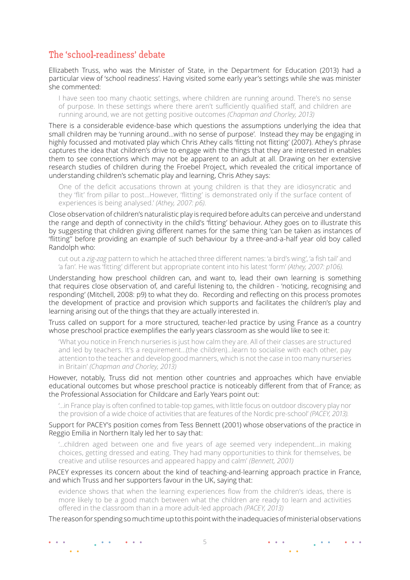# <span id="page-4-0"></span>The 'school-readiness' debate

Ellizabeth Truss, who was the Minister of State, in the Department for Education (2013) had a particular view of 'school readiness'. Having visited some early year's settings while she was minister she commented:

I have seen too many chaotic settings, where children are running around. There's no sense of purpose. In these settings where there aren't sufficiently qualified staff, and children are running around, we are not getting positive outcomes *(Chapman and Chorley, 2013)*

There is a considerable evidence-base which questions the assumptions underlying the idea that small children may be 'running around…with no sense of purpose'. Instead they may be engaging in highly focussed and motivated play which Chris Athey calls 'fitting not flitting' (2007). Athey's phrase captures the idea that children's drive to engage with the things that they are interested in enables them to see connections which may not be apparent to an adult at all. Drawing on her extensive research studies of children during the Froebel Project, which revealed the critical importance of understanding children's schematic play and learning, Chris Athey says:

One of the deficit accusations thrown at young children is that they are idiosyncratic and they 'flit' from pillar to post…However, 'flitting' is demonstrated only if the surface content of experiences is being analysed.' *(Athey, 2007: p6)*.

Close observation of children's naturalistic play is required before adults can perceive and understand the range and depth of connectivity in the child's 'fitting' behaviour. Athey goes on to illustrate this by suggesting that children giving different names for the same thing 'can be taken as instances of 'flitting'' before providing an example of such behaviour by a three-and-a-half year old boy called Randolph who:

cut out a *zig-zag* pattern to which he attached three different names: 'a bird's wing', 'a fish tail' and 'a fan'. He was 'fitting' different but appropriate content into his latest 'form' *(Athey, 2007: p106).*

Understanding how preschool children can, and want to, lead their own learning is something that requires close observation of, and careful listening to, the children - 'noticing, recognising and responding' (Mitchell, 2008: p9) to what they do. Recording and reflecting on this process promotes the development of practice and provision which supports and facilitates the children's play and learning arising out of the things that they are actually interested in.

Truss called on support for a more structured, teacher-led practice by using France as a country whose preschool practice exemplifies the early years classroom as she would like to see it:

'What you notice in French nurseries is just how calm they are. All of their classes are structured and led by teachers. It's a requirement…(the children)…learn to socialise with each other, pay attention to the teacher and develop good manners, which is not the case in too many nurseries in Britain' *(Chapman and Chorley, 2013)*

However, notably, Truss did not mention other countries and approaches which have enviable educational outcomes but whose preschool practice is noticeably different from that of France; as the Professional Association for Childcare and Early Years point out:

'…in France play is often confined to table-top games, with little focus on outdoor discovery play nor the provision of a wide choice of activities that are features of the Nordic pre-school' *(PACEY, 2013).*

#### Support for PACEY's position comes from Tess Bennett (2001) whose observations of the practice in Reggio Emilia in Northern Italy led her to say that:

'…children aged between one and five years of age seemed very independent…in making choices, getting dressed and eating. They had many opportunities to think for themselves, be creative and utilise resources and appeared happy and calm' *(Bennett, 2001)*

PACEY expresses its concern about the kind of teaching-and-learning approach practice in France, and which Truss and her supporters favour in the UK, saying that:

evidence shows that when the learning experiences flow from the children's ideas, there is more likely to be a good match between what the children are ready to learn and activities offered in the classroom than in a more adult-led approach *(PACEY, 2013)*

The reason for spending so much time up to this point with the inadequacies of ministerial observations

 $\mathbf{A}$  and  $\mathbf{A}$  $\sim$   $\sim$  $\bullet$   $\bullet$ 

 $\begin{array}{ccc} \bullet & \bullet & \bullet \end{array}$ 

**Service**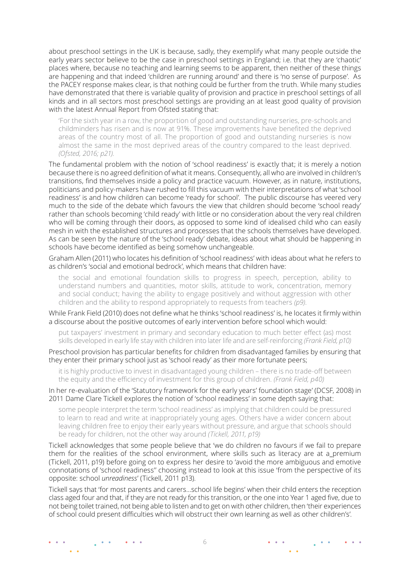about preschool settings in the UK is because, sadly, they exemplify what many people outside the early years sector believe to be the case in preschool settings in England; i.e. that they are 'chaotic' places where, because no teaching and learning seems to be apparent, then neither of these things are happening and that indeed 'children are running around' and there is 'no sense of purpose'. As the PACEY response makes clear, is that nothing could be further from the truth. While many studies have demonstrated that there is variable quality of provision and practice in preschool settings of all kinds and in all sectors most preschool settings are providing an at least good quality of provision with the latest Annual Report from Ofsted stating that:

'For the sixth year in a row, the proportion of good and outstanding nurseries, pre-schools and childminders has risen and is now at 91%. These improvements have benefited the deprived areas of the country most of all. The proportion of good and outstanding nurseries is now almost the same in the most deprived areas of the country compared to the least deprived. *(Ofsted, 2016; p21).*

The fundamental problem with the notion of 'school readiness' is exactly that; it is merely a notion because there is no agreed definition of what it means. Consequently, all who are involved in children's transitions, find themselves inside a policy and practice vacuum. However, as in nature, institutions, politicians and policy-makers have rushed to fill this vacuum with their interpretations of what 'school readiness' is and how children can become 'ready for school'. The public discourse has veered very much to the side of the debate which favours the view that children should become 'school ready' rather than schools becoming 'child ready' with little or no consideration about the very real children who will be coming through their doors, as opposed to some kind of idealised child who can easily mesh in with the established structures and processes that the schools themselves have developed. As can be seen by the nature of the 'school ready' debate, ideas about what should be happening in schools have become identified as being somehow unchangeable.

Graham Allen (2011) who locates his definition of 'school readiness' with ideas about what he refers to as children's 'social and emotional bedrock', which means that children have:

the social and emotional foundation skills to progress in speech, perception, ability to understand numbers and quantities, motor skills, attitude to work, concentration, memory and social conduct; having the ability to engage positively and without aggression with other children and the ability to respond appropriately to requests from teachers *(p9)*.

While Frank Field (2010) does not define what he thinks 'school readiness' is, he locates it firmly within a discourse about the positive outcomes of early intervention before school which would:

put taxpayers' investment in primary and secondary education to much better effect (as) most skills developed in early life stay with children into later life and are self-reinforcing *(Frank Field, p10)*

Preschool provision has particular benefits for children from disadvantaged families by ensuring that they enter their primary school just as 'school ready' as their more fortunate peers;

it is highly productive to invest in disadvantaged young children – there is no trade-off between the equity and the efficiency of investment for this group of children. *(Frank Field, p40)*

In her re-evaluation of the 'Statutory framework for the early years' foundation stage' (DCSF, 2008) in 2011 Dame Clare Tickell explores the notion of 'school readiness' in some depth saying that:

some people interpret the term 'school readiness' as implying that children could be pressured to learn to read and write at inappropriately young ages. Others have a wider concern about leaving children free to enjoy their early years without pressure, and argue that schools should be ready for children, not the other way around *(Tickell, 2011, p19)* 

Tickell acknowledges that some people believe that 'we do children no favours if we fail to prepare them for the realities of the school environment, where skills such as literacy are at a premium (Tickell, 2011, p19) before going on to express her desire to 'avoid the more ambiguous and emotive connotations of 'school readiness'' choosing instead to look at this issue 'from the perspective of its opposite: school *unreadiness*' (Tickell, 2011 p13).

Tickell says that 'for most parents and carers…school life begins' when their child enters the reception class aged four and that, if they are not ready for this transition, or the one into Year 1 aged five, due to not being toilet trained, not being able to listen and to get on with other children, then 'their experiences of school could present difficulties which will obstruct their own learning as well as other children's'.

**College**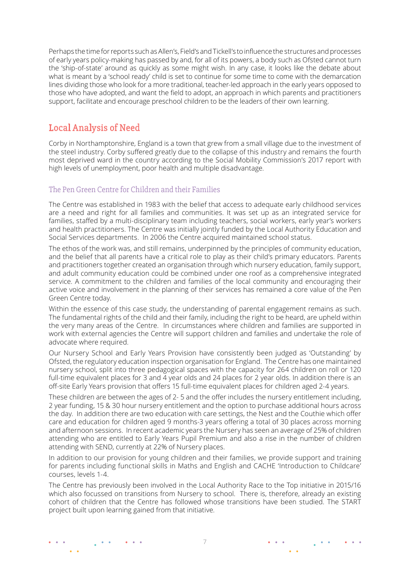<span id="page-6-0"></span>Perhaps the time for reports such as Allen's, Field's and Tickell's to influence the structures and processes of early years policy-making has passed by and, for all of its powers, a body such as Ofsted cannot turn the 'ship-of-state' around as quickly as some might wish. In any case, it looks like the debate about what is meant by a 'school ready' child is set to continue for some time to come with the demarcation lines dividing those who look for a more traditional, teacher-led approach in the early years opposed to those who have adopted, and want the field to adopt, an approach in which parents and practitioners support, facilitate and encourage preschool children to be the leaders of their own learning.

# Local Analysis of Need

Corby in Northamptonshire, England is a town that grew from a small village due to the investment of the steel industry. Corby suffered greatly due to the collapse of this industry and remains the fourth most deprived ward in the country according to the Social Mobility Commission's 2017 report with high levels of unemployment, poor health and multiple disadvantage.

### The Pen Green Centre for Children and their Families

The Centre was established in 1983 with the belief that access to adequate early childhood services are a need and right for all families and communities. It was set up as an integrated service for families, staffed by a multi-disciplinary team including teachers, social workers, early year's workers and health practitioners. The Centre was initially jointly funded by the Local Authority Education and Social Services departments. In 2006 the Centre acquired maintained school status.

The ethos of the work was, and still remains, underpinned by the principles of community education, and the belief that all parents have a critical role to play as their child's primary educators. Parents and practitioners together created an organisation through which nursery education, family support, and adult community education could be combined under one roof as a comprehensive integrated service. A commitment to the children and families of the local community and encouraging their active voice and involvement in the planning of their services has remained a core value of the Pen Green Centre today.

Within the essence of this case study, the understanding of parental engagement remains as such. The fundamental rights of the child and their family, including the right to be heard, are upheld within the very many areas of the Centre. In circumstances where children and families are supported in work with external agencies the Centre will support children and families and undertake the role of advocate where required.

Our Nursery School and Early Years Provision have consistently been judged as 'Outstanding' by Ofsted, the regulatory education inspection organisation for England. The Centre has one maintained nursery school, split into three pedagogical spaces with the capacity for 264 children on roll or 120 full-time equivalent places for 3 and 4 year olds and 24 places for 2 year olds. In addition there is an off-site Early Years provision that offers 15 full-time equivalent places for children aged 2-4 years.

These children are between the ages of 2- 5 and the offer includes the nursery entitlement including, 2 year funding, 15 & 30 hour nursery entitlement and the option to purchase additional hours across the day. In addition there are two education with care settings, the Nest and the Couthie which offer care and education for children aged 9 months-3 years offering a total of 30 places across morning and afternoon sessions. In recent academic years the Nursery has seen an average of 25% of children attending who are entitled to Early Years Pupil Premium and also a rise in the number of children attending with SEND, currently at 22% of Nursery places.

In addition to our provision for young children and their families, we provide support and training for parents including functional skills in Maths and English and CACHE 'Introduction to Childcare' courses, levels 1-4.

The Centre has previously been involved in the Local Authority Race to the Top initiative in 2015/16 which also focussed on transitions from Nursery to school. There is, therefore, already an existing cohort of children that the Centre has followed whose transitions have been studied. The START project built upon learning gained from that initiative.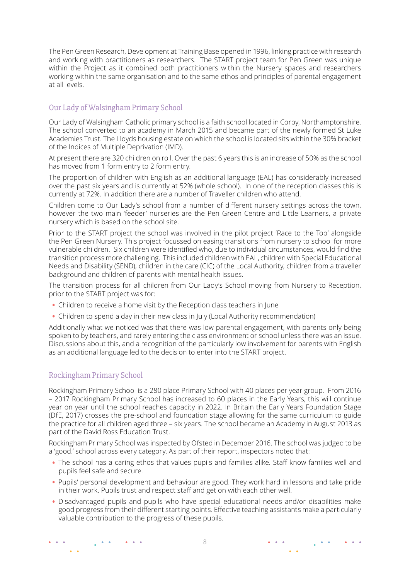<span id="page-7-0"></span>The Pen Green Research, Development at Training Base opened in 1996, linking practice with research and working with practitioners as researchers. The START project team for Pen Green was unique within the Project as it combined both practitioners within the Nursery spaces and researchers working within the same organisation and to the same ethos and principles of parental engagement at all levels.

### Our Lady of Walsingham Primary School

Our Lady of Walsingham Catholic primary school is a faith school located in Corby, Northamptonshire. The school converted to an academy in March 2015 and became part of the newly formed St Luke Academies Trust. The Lloyds housing estate on which the school is located sits within the 30% bracket of the Indices of Multiple Deprivation (IMD).

At present there are 320 children on roll. Over the past 6 years this is an increase of 50% as the school has moved from 1 form entry to 2 form entry.

The proportion of children with English as an additional language (EAL) has considerably increased over the past six years and is currently at 52% (whole school). In one of the reception classes this is currently at 72%. In addition there are a number of Traveller children who attend.

Children come to Our Lady's school from a number of different nursery settings across the town, however the two main 'feeder' nurseries are the Pen Green Centre and Little Learners, a private nursery which is based on the school site.

Prior to the START project the school was involved in the pilot project 'Race to the Top' alongside the Pen Green Nursery. This project focussed on easing transitions from nursery to school for more vulnerable children. Six children were identified who, due to individual circumstances, would find the transition process more challenging. This included children with EAL, children with Special Educational Needs and Disability (SEND), children in the care (CIC) of the Local Authority, children from a traveller background and children of parents with mental health issues.

The transition process for all children from Our Lady's School moving from Nursery to Reception, prior to the START project was for:

- Children to receive a home visit by the Reception class teachers in June
- Children to spend a day in their new class in July (Local Authority recommendation)

Additionally what we noticed was that there was low parental engagement, with parents only being spoken to by teachers, and rarely entering the class environment or school unless there was an issue. Discussions about this, and a recognition of the particularly low involvement for parents with English as an additional language led to the decision to enter into the START project.

### Rockingham Primary School

 $\frac{1}{2}$  ,  $\frac{1}{2}$  ,  $\frac{1}{2}$ 

 $\sim$ 

 $\bullet$  .  $\bullet$ 

Rockingham Primary School is a 280 place Primary School with 40 places per year group. From 2016 – 2017 Rockingham Primary School has increased to 60 places in the Early Years, this will continue year on year until the school reaches capacity in 2022. In Britain the Early Years Foundation Stage (DfE, 2017) crosses the pre-school and foundation stage allowing for the same curriculum to guide the practice for all children aged three – six years. The school became an Academy in August 2013 as part of the David Ross Education Trust.

Rockingham Primary School was inspected by Ofsted in December 2016. The school was judged to be a 'good.' school across every category. As part of their report, inspectors noted that:

- The school has a caring ethos that values pupils and families alike. Staff know families well and pupils feel safe and secure.
- Pupils' personal development and behaviour are good. They work hard in lessons and take pride in their work. Pupils trust and respect staff and get on with each other well.
- Disadvantaged pupils and pupils who have special educational needs and/or disabilities make good progress from their different starting points. Effective teaching assistants make a particularly valuable contribution to the progress of these pupils.

 $\bullet \qquad \bullet \qquad \bullet$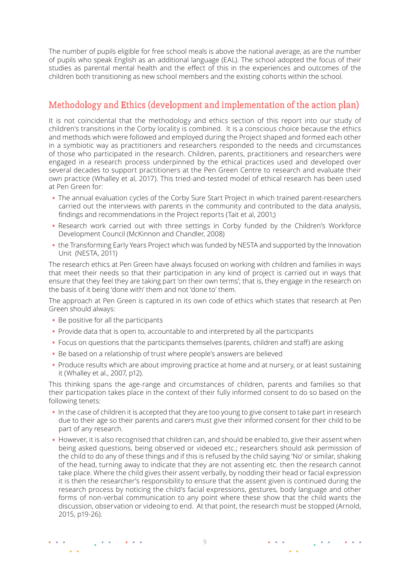<span id="page-8-0"></span>The number of pupils eligible for free school meals is above the national average, as are the number of pupils who speak English as an additional language (EAL). The school adopted the focus of their studies as parental mental health and the effect of this in the experiences and outcomes of the children both transitioning as new school members and the existing cohorts within the school.

# Methodology and Ethics (development and implementation of the action plan)

It is not coincidental that the methodology and ethics section of this report into our study of children's transitions in the Corby locality is combined. It is a conscious choice because the ethics and methods which were followed and employed during the Project shaped and formed each other in a symbiotic way as practitioners and researchers responded to the needs and circumstances of those who participated in the research. Children, parents, practitioners and researchers were engaged in a research process underpinned by the ethical practices used and developed over several decades to support practitioners at the Pen Green Centre to research and evaluate their own practice (Whalley et al, 2017). This tried-and-tested model of ethical research has been used at Pen Green for:

- The annual evaluation cycles of the Corby Sure Start Project in which trained parent-researchers carried out the interviews with parents in the community and contributed to the data analysis, findings and recommendations in the Project reports (Tait et al, 2001;)
- Research work carried out with three settings in Corby funded by the Children's Workforce Development Council (McKinnon and Chandler, 2008)
- the Transforming Early Years Project which was funded by NESTA and supported by the Innovation Unit (NESTA, 2011)

The research ethics at Pen Green have always focused on working with children and families in ways that meet their needs so that their participation in any kind of project is carried out in ways that ensure that they feel they are taking part 'on their own terms'; that is, they engage in the research on the basis of it being 'done with' them and not 'done to' them.

The approach at Pen Green is captured in its own code of ethics which states that research at Pen Green should always:

• Be positive for all the participants

 $\frac{1}{2}$  ,  $\frac{1}{2}$  ,  $\frac{1}{2}$ 

 $\bullet$   $\bullet$   $\bullet$ 

 $\sim$   $\sim$ 

- Provide data that is open to, accountable to and interpreted by all the participants
- Focus on questions that the participants themselves (parents, children and staff) are asking
- Be based on a relationship of trust where people's answers are believed
- Produce results which are about improving practice at home and at nursery, or at least sustaining it (Whalley et al., 2007, p12).

This thinking spans the age-range and circumstances of children, parents and families so that their participation takes place in the context of their fully informed consent to do so based on the following tenets:

- In the case of children it is accepted that they are too young to give consent to take part in research due to their age so their parents and carers must give their informed consent for their child to be part of any research.
- However, it is also recognised that children can, and should be enabled to, give their assent when being asked questions, being observed or videoed etc.; researchers should ask permission of the child to do any of these things and if this is refused by the child saying 'No' or similar, shaking of the head, turning away to indicate that they are not assenting etc. then the research cannot take place. Where the child gives their assent verbally, by nodding their head or facial expression it is then the researcher's responsibility to ensure that the assent given is continued during the research process by noticing the child's facial expressions, gestures, body language and other forms of non-verbal communication to any point where these show that the child wants the discussion, observation or videoing to end. At that point, the research must be stopped (Arnold, 2015, p19-26).

 $\frac{1}{2}$  , where

 $\bullet \qquad \bullet \qquad \bullet$ 

 $\bullet \quad \bullet \quad \bullet$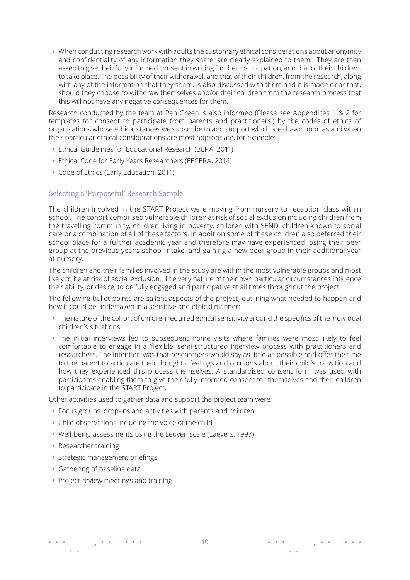<span id="page-9-0"></span>• When conducting research work with adults the customary ethical considerations about anonymity and confidentiality of any information they share, are clearly explained to them. They are then asked to give their fully informed consent in writing for their participation, and that of their children, to take place. The possibility of their withdrawal, and that of their children, from the research, along with any of the information that they share, is also discussed with them and it is made clear that, should they choose to withdraw themselves and/or their children from the research process that this will not have any negative consequences for them.

Research conducted by the team at Pen Green is also informed (Please see [Appendices 1](http://start.pei.si/wp-content/uploads/sites/11/2019/05/03_UK-app-1.pdf) & [2](http://start.pei.si/wp-content/uploads/sites/11/2019/05/03_UK-app-2.pdf) for templates for consent to participate from parents and practitioners.) by the codes of ethics of organisations whose ethical stances we subscribe to and support which are drawn upon as and when their particular ethical considerations are most appropriate, for example:

- Ethical Guidelines for Educational Research (BERA, 2011)
- Ethical Code for Early Years Researchers (EECERA, 2014)
- Code of Ethics (Early Education, 2011)

### Selecting a 'Purposeful' Research Sample

The children involved in the START Project were moving from nursery to reception class within school. The cohort comprised vulnerable children at risk of social exclusion including children from the travelling community, children living in poverty, children with SEND, children known to social care or a combination of all of these factors. In addition some of these children also deferred their school place for a further academic year and therefore may have experienced losing their peer group at the previous year's school intake, and gaining a new peer group in their additional year at nursery.

The children and their families involved in the study are within the most vulnerable groups and most likely to be at risk of social exclusion. The very nature of their own particular circumstances influence their ability, or desire, to be fully engaged and participative at all times throughout the project.

The following bullet points are salient aspects of the project, outlining what needed to happen and how it could be undertaken in a sensitive and ethical manner:

- The nature of the cohort of children required ethical sensitivity around the specifics of the individual children's situations.
- The initial interviews led to subsequent home visits where families were most likely to feel comfortable to engage in a 'flexible' semi-structured interview process with practitioners and researchers. The intention was that researchers would say as little as possible and offer the time to the parent to articulate their thoughts, feelings and opinions about their child's transition and how they experienced this process themselves. A standardised consent form was used with participants enabling them to give their fully informed consent for themselves and their children to participate in the START Project.

Other activities used to gather data and support the project team were:

- Focus groups, drop-ins and activities with parents and children
- Child observations including the voice of the child

 $\bullet \quad \bullet \quad \bullet$ 

- Well-being assessments using the Leuven scale (Laevers, 1997)
- Researcher training
- Strategic management briefings

 $\frac{1}{2}$  ,  $\frac{1}{2}$  ,  $\frac{1}{2}$ 

- Gathering of baseline data
- Project review meetings and training.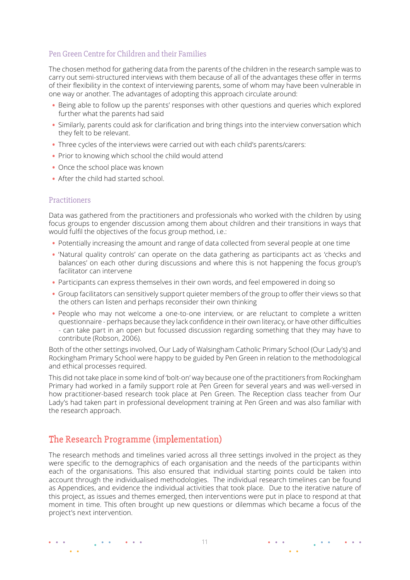### <span id="page-10-0"></span>Pen Green Centre for Children and their Families

The chosen method for gathering data from the parents of the children in the research sample was to carry out semi-structured interviews with them because of all of the advantages these offer in terms of their flexibility in the context of interviewing parents, some of whom may have been vulnerable in one way or another. The advantages of adopting this approach circulate around:

- Being able to follow up the parents' responses with other questions and queries which explored further what the parents had said
- Similarly, parents could ask for clarification and bring things into the interview conversation which they felt to be relevant.
- Three cycles of the interviews were carried out with each child's parents/carers:
- Prior to knowing which school the child would attend
- Once the school place was known
- After the child had started school.

#### **Practitioners**

Data was gathered from the practitioners and professionals who worked with the children by using focus groups to engender discussion among them about children and their transitions in ways that would fulfil the objectives of the focus group method, i.e.:

- Potentially increasing the amount and range of data collected from several people at one time
- 'Natural quality controls' can operate on the data gathering as participants act as 'checks and balances' on each other during discussions and where this is not happening the focus group's facilitator can intervene
- Participants can express themselves in their own words, and feel empowered in doing so
- Group facilitators can sensitively support quieter members of the group to offer their views so that the others can listen and perhaps reconsider their own thinking
- People who may not welcome a one-to-one interview, or are reluctant to complete a written questionnaire - perhaps because they lack confidence in their own literacy, or have other difficulties - can take part in an open but focussed discussion regarding something that they may have to contribute (Robson, 2006).

Both of the other settings involved, Our Lady of Walsingham Catholic Primary School (Our Lady's) and Rockingham Primary School were happy to be guided by Pen Green in relation to the methodological and ethical processes required.

This did not take place in some kind of 'bolt-on' way because one of the practitioners from Rockingham Primary had worked in a family support role at Pen Green for several years and was well-versed in how practitioner-based research took place at Pen Green. The Reception class teacher from Our Lady's had taken part in professional development training at Pen Green and was also familiar with the research approach.

# The Research Programme (implementation)

The research methods and timelines varied across all three settings involved in the project as they were specific to the demographics of each organisation and the needs of the participants within each of the organisations. This also ensured that individual starting points could be taken into account through the individualised methodologies. The individual research timelines can be found as Appendices, and evidence the individual activities that took place. Due to the iterative nature of this project, as issues and themes emerged, then interventions were put in place to respond at that moment in time. This often brought up new questions or dilemmas which became a focus of the project's next intervention.

**Contract** 

 $\bullet \qquad \bullet \qquad \bullet$ 

 $\mathbf{A}$  and  $\mathbf{A}$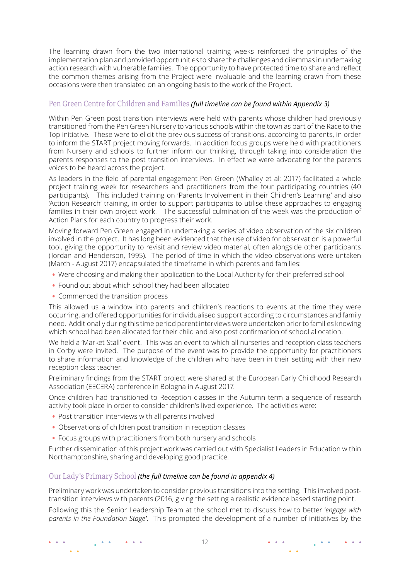<span id="page-11-0"></span>The learning drawn from the two international training weeks reinforced the principles of the implementation plan and provided opportunities to share the challenges and dilemmas in undertaking action research with vulnerable families. The opportunity to have protected time to share and reflect the common themes arising from the Project were invaluable and the learning drawn from these occasions were then translated on an ongoing basis to the work of the Project.

#### Pen Green Centre for Children and Families *[\(full timeline can be found within Appendix 3\)](http://start.pei.si/wp-content/uploads/sites/11/2019/05/03_UK-app-3.pdf)*

Within Pen Green post transition interviews were held with parents whose children had previously transitioned from the Pen Green Nursery to various schools within the town as part of the Race to the Top initiative. These were to elicit the previous success of transitions, according to parents, in order to inform the START project moving forwards. In addition focus groups were held with practitioners from Nursery and schools to further inform our thinking, through taking into consideration the parents responses to the post transition interviews. In effect we were advocating for the parents voices to be heard across the project.

As leaders in the field of parental engagement Pen Green (Whalley et al: 2017) facilitated a whole project training week for researchers and practitioners from the four participating countries (40 participants). This included training on 'Parents Involvement in their Children's Learning' and also 'Action Research' training, in order to support participants to utilise these approaches to engaging families in their own project work. The successful culmination of the week was the production of Action Plans for each country to progress their work.

Moving forward Pen Green engaged in undertaking a series of video observation of the six children involved in the project. It has long been evidenced that the use of video for observation is a powerful tool, giving the opportunity to revisit and review video material, often alongside other participants (Jordan and Henderson, 1995). The period of time in which the video observations were untaken (March - August 2017) encapsulated the timeframe in which parents and families:

- Were choosing and making their application to the Local Authority for their preferred school
- Found out about which school they had been allocated
- Commenced the transition process

This allowed us a window into parents and children's reactions to events at the time they were occurring, and offered opportunities for individualised support according to circumstances and family need. Additionally during this time period parent interviews were undertaken prior to families knowing which school had been allocated for their child and also post confirmation of school allocation.

We held a 'Market Stall' event. This was an event to which all nurseries and reception class teachers in Corby were invited. The purpose of the event was to provide the opportunity for practitioners to share information and knowledge of the children who have been in their setting with their new reception class teacher.

Preliminary findings from the START project were shared at the European Early Childhood Research Association (EECERA) conference in Bologna in August 2017.

Once children had transitioned to Reception classes in the Autumn term a sequence of research activity took place in order to consider children's lived experience. The activities were:

- Post transition interviews with all parents involved
- Observations of children post transition in reception classes
- Focus groups with practitioners from both nursery and schools

Further dissemination of this project work was carried out with Specialist Leaders in Education within Northamptonshire, sharing and developing good practice.

#### Our Lady's Primary School *[\(the full timeline can be found in appendix 4\)](http://start.pei.si/wp-content/uploads/sites/11/2019/05/03_UK-app-4.pdf)*

Preliminary work was undertaken to consider previous transitions into the setting. This involved posttransition interviews with parents (2016, giving the setting a realistic evidence based starting point.

Following this the Senior Leadership Team at the school met to discuss how to better '*engage with parents in the Foundation Stage'.* This prompted the development of a number of initiatives by the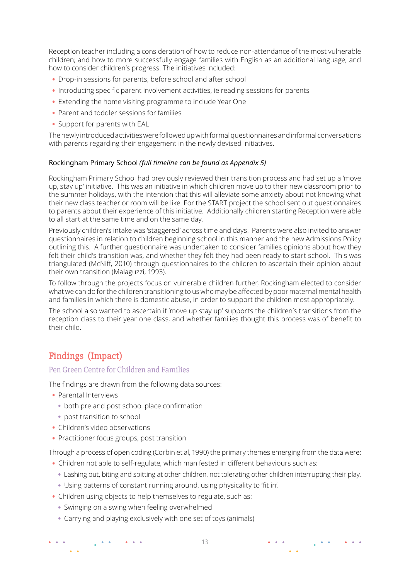<span id="page-12-0"></span>Reception teacher including a consideration of how to reduce non-attendance of the most vulnerable children; and how to more successfully engage families with English as an additional language; and how to consider children's progress. The initiatives included:

- Drop-in sessions for parents, before school and after school
- Introducing specific parent involvement activities, ie reading sessions for parents
- Extending the home visiting programme to include Year One
- Parent and toddler sessions for families
- Support for parents with EAL

The newly introduced activities were followed up with formal questionnaires and informal conversations with parents regarding their engagement in the newly devised initiatives.

#### Rockingham Primary School *[\(full timeline can be found as Appendix 5\)](http://start.pei.si/wp-content/uploads/sites/11/2019/05/03_UK-app-5.pdf)*

Rockingham Primary School had previously reviewed their transition process and had set up a 'move up, stay up' initiative. This was an initiative in which children move up to their new classroom prior to the summer holidays, with the intention that this will alleviate some anxiety about not knowing what their new class teacher or room will be like. For the START project the school sent out questionnaires to parents about their experience of this initiative. Additionally children starting Reception were able to all start at the same time and on the same day.

Previously children's intake was 'staggered' across time and days. Parents were also invited to answer questionnaires in relation to children beginning school in this manner and the new Admissions Policy outlining this. A further questionnaire was undertaken to consider families opinions about how they felt their child's transition was, and whether they felt they had been ready to start school. This was triangulated (McNiff, 2010) through questionnaires to the children to ascertain their opinion about their own transition (Malaguzzi, 1993).

To follow through the projects focus on vulnerable children further, Rockingham elected to consider what we can do for the children transitioning to us who may be affected by poor maternal mental health and families in which there is domestic abuse, in order to support the children most appropriately.

The school also wanted to ascertain if 'move up stay up' supports the children's transitions from the reception class to their year one class, and whether families thought this process was of benefit to their child.

# Findings (Impact)

#### Pen Green Centre for Children and Families

The findings are drawn from the following data sources:

- Parental Interviews
	- both pre and post school place confirmation
	- post transition to school
- Children's video observations

 $\frac{1}{2}$  ,  $\frac{1}{2}$  ,  $\frac{1}{2}$ 

 $\bullet$   $\bullet$ 

• Practitioner focus groups, post transition

Through a process of open coding (Corbin et al, 1990) the primary themes emerging from the data were:

- Children not able to self-regulate, which manifested in different behaviours such as:
	- Lashing out, biting and spitting at other children, not tolerating other children interrupting their play.
	- Using patterns of constant running around, using physicality to 'fit in'.
- Children using objects to help themselves to regulate, such as:
	- Swinging on a swing when feeling overwhelmed

**All All A** 

• Carrying and playing exclusively with one set of toys (animals)

 $\begin{array}{cccccccccc} \bullet & \bullet & \bullet & \bullet \end{array}$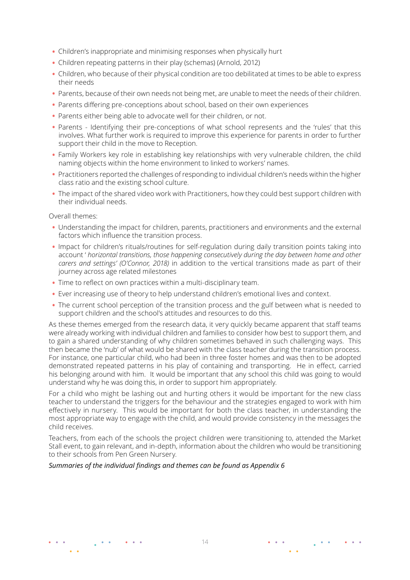- Children's inappropriate and minimising responses when physically hurt
- Children repeating patterns in their play (schemas) (Arnold, 2012)
- Children, who because of their physical condition are too debilitated at times to be able to express their needs
- Parents, because of their own needs not being met, are unable to meet the needs of their children.
- Parents differing pre-conceptions about school, based on their own experiences
- Parents either being able to advocate well for their children, or not.
- Parents Identifying their pre-conceptions of what school represents and the 'rules' that this involves. What further work is required to improve this experience for parents in order to further support their child in the move to Reception.
- Family Workers key role in establishing key relationships with very vulnerable children, the child naming objects within the home environment to linked to workers' names.
- Practitioners reported the challenges of responding to individual children's needs within the higher class ratio and the existing school culture.
- The impact of the shared video work with Practitioners, how they could best support children with their individual needs.

Overall themes:

- Understanding the impact for children, parents, practitioners and environments and the external factors which influence the transition process.
- Impact for children's rituals/routines for self-regulation during daily transition points taking into account ' *horizontal transitions, those happening consecutively during the day between home and other carers and settings' (O'Connor, 2018)* in addition to the vertical transitions made as part of their journey across age related milestones
- Time to reflect on own practices within a multi-disciplinary team.
- Ever increasing use of theory to help understand children's emotional lives and context.
- The current school perception of the transition process and the gulf between what is needed to support children and the school's attitudes and resources to do this.

As these themes emerged from the research data, it very quickly became apparent that staff teams were already working with individual children and families to consider how best to support them, and to gain a shared understanding of why children sometimes behaved in such challenging ways. This then became the 'nub' of what would be shared with the class teacher during the transition process. For instance, one particular child, who had been in three foster homes and was then to be adopted demonstrated repeated patterns in his play of containing and transporting. He in effect, carried his belonging around with him. It would be important that any school this child was going to would understand why he was doing this, in order to support him appropriately.

For a child who might be lashing out and hurting others it would be important for the new class teacher to understand the triggers for the behaviour and the strategies engaged to work with him effectively in nursery. This would be important for both the class teacher, in understanding the most appropriate way to engage with the child, and would provide consistency in the messages the child receives.

Teachers, from each of the schools the project children were transitioning to, attended the Market Stall event, to gain relevant, and in-depth, information about the children who would be transitioning to their schools from Pen Green Nursery.

#### *[Summaries of the individual findings and themes can be found as Appendix 6](http://start.pei.si/wp-content/uploads/sites/11/2019/05/03_UK-app-6.pdf)*

 $\sim$ 

 $\sim$   $\sim$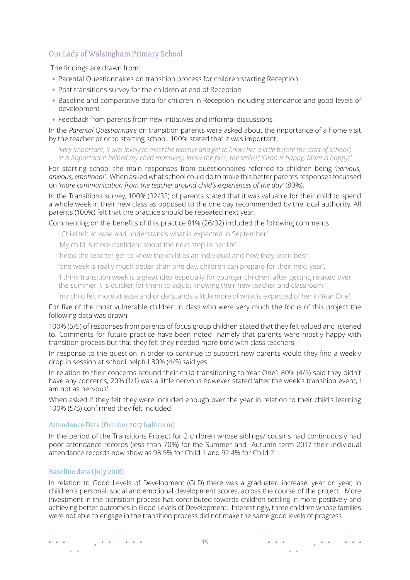### <span id="page-14-0"></span>Our Lady of Walsingham Primary School

The findings are drawn from:

- Parental Questionnaires on transition process for children starting Reception
- Post transitions survey for the children at end of Reception
- Baseline and comparative data for children in Reception including attendance and good levels of development
- Feedback from parents from new initiatives and informal discussions

In the *Parental Questionnaire* on transition parents were asked about the importance of a home visit by the teacher prior to starting school. 100% stated that it was important.

*'very important, it was lovely to meet the teacher and get to know her a little before the start of school'; 'it is important it helped my child massively, know the face, the smile!'; 'Gran is happy, Mum is happy;'* 

For starting school the main responses from questionnaires referred to children being *'nervous, anxious, emotional'*. When asked what school could do to make this better parents responses focussed on *'more communication from the teacher around child's experiences of the day'* (80%).

In the Transitions survey, 100% (32/32) of parents stated that it was valuable for their child to spend a whole week in their new class as opposed to the one day recommended by the local authority. All parents (100%) felt that the practice should be repeated next year.

Commenting on the benefits of this practice 81% (26/32) included the following comments:

' Child felt at ease and understands what is expected in September'

'My child is more confident about the next step in her life'

'helps the teacher get to know the child as an individual and how they learn best'

'one week is really much better than one day, children can prepare for their next year'.

'I think transition week is a great idea especially for younger children, after getting relaxed over the summer it is quicker for them to adjust knowing their new teacher and classroom.'

'my child felt more at ease and understands a little more of what is expected of her in Year One'.

For five of the most vulnerable children in class who were very much the focus of this project the following data was drawn:

100% (5/5) of responses from parents of focus group children stated that they felt valued and listened to. Comments for future practice have been noted- namely that parents were mostly happy with transition process but that they felt they needed more time with class teachers.

In response to the question in order to continue to support new parents would they find a weekly drop in session at school helpful 80% (4/5) said yes.

In relation to their concerns around their child transitioning to Year One1 80% (4/5) said they didn't have any concerns, 20% (1/1) was a little nervous however stated 'after the week's transition event, I am not as nervous'.

When asked if they felt they were included enough over the year in relation to their child's learning 100% (5/5) confirmed they felt included.

#### Attendance Data (October 2017 half-term)

In the period of the Transitions Project for 2 children whose siblings/ cousins had continuously had poor attendance records (less than 70%) for the Summer and Autumn term 2017 their individual attendance records now show as 98.5% for Child 1 and 92.4% for Child 2.

#### Baseline data (July 2018)

In relation to Good Levels of Development (GLD) there was a graduated increase, year on year, in children's personal, social and emotional development scores, across the course of the project. More investment in the transition process has contributed towards children settling in more positively and achieving better outcomes in Good Levels of Development. Interestingly, three children whose families were not able to engage in the transition process did not make the same good levels of progress

 $\sim$ 

 $\sim$   $-$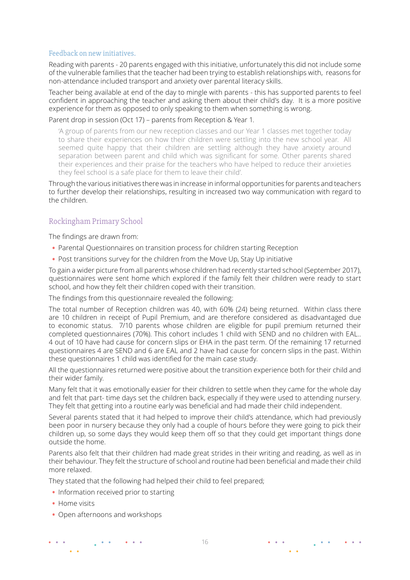#### <span id="page-15-0"></span>Feedback on new initiatives.

Reading with parents - 20 parents engaged with this initiative, unfortunately this did not include some of the vulnerable families that the teacher had been trying to establish relationships with, reasons for non-attendance included transport and anxiety over parental literacy skills.

Teacher being available at end of the day to mingle with parents - this has supported parents to feel confident in approaching the teacher and asking them about their child's day. It is a more positive experience for them as opposed to only speaking to them when something is wrong.

#### Parent drop in session (Oct 17) – parents from Reception & Year 1.

'A group of parents from our new reception classes and our Year 1 classes met together today to share their experiences on how their children were settling into the new school year. All seemed quite happy that their children are settling although they have anxiety around separation between parent and child which was significant for some. Other parents shared their experiences and their praise for the teachers who have helped to reduce their anxieties they feel school is a safe place for them to leave their child'.

Through the various initiatives there was in increase in informal opportunities for parents and teachers to further develop their relationships, resulting in increased two way communication with regard to the children.

### Rockingham Primary School

The findings are drawn from:

- Parental Questionnaires on transition process for children starting Reception
- Post transitions survey for the children from the Move Up, Stay Up initiative

To gain a wider picture from all parents whose children had recently started school (September 2017), questionnaires were sent home which explored if the family felt their children were ready to start school, and how they felt their children coped with their transition.

The findings from this questionnaire revealed the following:

The total number of Reception children was 40, with 60% (24) being returned. Within class there are 10 children in receipt of Pupil Premium, and are therefore considered as disadvantaged due to economic status. 7/10 parents whose children are eligible for pupil premium returned their completed questionnaires (70%). This cohort includes 1 child with SEND and no children with EAL.. 4 out of 10 have had cause for concern slips or EHA in the past term. Of the remaining 17 returned questionnaires 4 are SEND and 6 are EAL and 2 have had cause for concern slips in the past. Within these questionnaires 1 child was identified for the main case study.

All the questionnaires returned were positive about the transition experience both for their child and their wider family.

Many felt that it was emotionally easier for their children to settle when they came for the whole day and felt that part- time days set the children back, especially if they were used to attending nursery. They felt that getting into a routine early was beneficial and had made their child independent.

Several parents stated that it had helped to improve their child's attendance, which had previously been poor in nursery because they only had a couple of hours before they were going to pick their children up, so some days they would keep them off so that they could get important things done outside the home.

Parents also felt that their children had made great strides in their writing and reading, as well as in their behaviour. They felt the structure of school and routine had been beneficial and made their child more relaxed.

They stated that the following had helped their child to feel prepared;

- Information received prior to starting
- Home visits

 $\sim$   $\sim$ 

• Open afternoons and workshops

16

 $\bullet \qquad \bullet \qquad \bullet$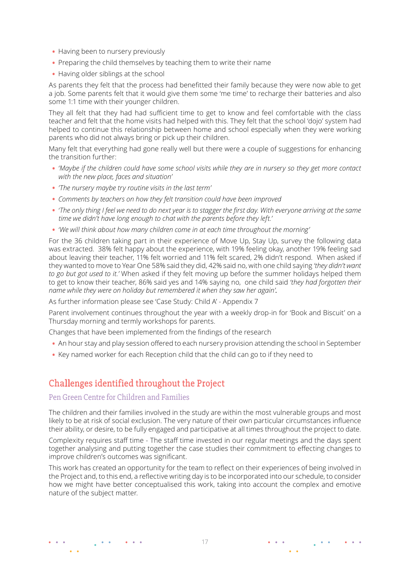- <span id="page-16-0"></span>• Having been to nursery previously
- Preparing the child themselves by teaching them to write their name
- Having older siblings at the school

As parents they felt that the process had benefitted their family because they were now able to get a job. Some parents felt that it would give them some 'me time' to recharge their batteries and also some 1:1 time with their younger children.

They all felt that they had had sufficient time to get to know and feel comfortable with the class teacher and felt that the home visits had helped with this. They felt that the school 'dojo' system had helped to continue this relationship between home and school especially when they were working parents who did not always bring or pick up their children.

Many felt that everything had gone really well but there were a couple of suggestions for enhancing the transition further:

- *'Maybe if the children could have some school visits while they are in nursery so they get more contact with the new place, faces and situation'*
- *'The nursery maybe try routine visits in the last term'*
- *Comments by teachers on how they felt transition could have been improved*
- *'The only thing I feel we need to do next year is to stagger the first day. With everyone arriving at the same time we didn't have long enough to chat with the parents before they left.'*
- *'We will think about how many children come in at each time throughout the morning'*

For the 36 children taking part in their experience of Move Up, Stay Up, survey the following data was extracted. 38% felt happy about the experience, with 19% feeling okay, another 19% feeling sad about leaving their teacher, 11% felt worried and 11% felt scared, 2% didn't respond. When asked if they wanted to move to Year One 58% said they did, 42% said no, with one child saying *'they didn't want to go but got used to it.'* When asked if they felt moving up before the summer holidays helped them to get to know their teacher, 86% said yes and 14% saying no, one child said *'they had forgotten their name while they were on holiday but remembered it when they saw her again'.*

As further information please see ['Case Study: Child A' - Appendix 7](http://start.pei.si/wp-content/uploads/sites/11/2019/05/03_UK-app-7.pdf)

Parent involvement continues throughout the year with a weekly drop-in for 'Book and Biscuit' on a Thursday morning and termly workshops for parents.

Changes that have been implemented from the findings of the research

- An hour stay and play session offered to each nursery provision attending the school in September
- Key named worker for each Reception child that the child can go to if they need to

# Challenges identified throughout the Project

### Pen Green Centre for Children and Families

The children and their families involved in the study are within the most vulnerable groups and most likely to be at risk of social exclusion. The very nature of their own particular circumstances influence their ability, or desire, to be fully engaged and participative at all times throughout the project to date.

Complexity requires staff time - The staff time invested in our regular meetings and the days spent together analysing and putting together the case studies their commitment to effecting changes to improve children's outcomes was significant.

This work has created an opportunity for the team to reflect on their experiences of being involved in the Project and, to this end, a reflective writing day is to be incorporated into our schedule, to consider how we might have better conceptualised this work, taking into account the complex and emotive nature of the subject matter.

 $\bullet \qquad \bullet \qquad \bullet$ 

 $\bullet$   $\bullet$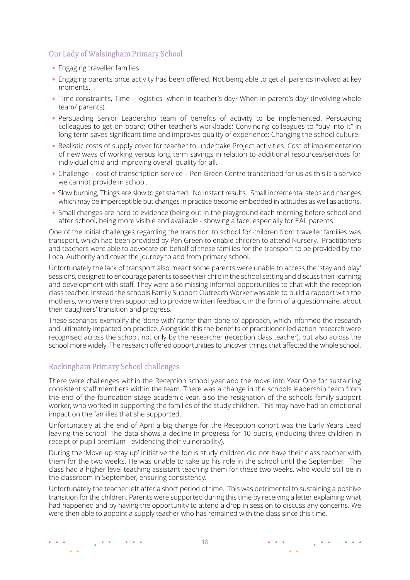### <span id="page-17-0"></span>Our Lady of Walsingham Primary School

- Engaging traveller families.
- Engaging parents once activity has been offered. Not being able to get all parents involved at key moments.
- Time constraints, Time logistics- when in teacher's day? When in parent's day? (Involving whole team/ parents).
- Persuading Senior Leadership team of benefits of activity to be implemented. Persuading colleagues to get on board; Other teacher's workloads; Convincing colleagues to "buy into it" in long term saves significant time and improves quality of experience; Changing the school culture.
- Realistic costs of supply cover for teacher to undertake Project activities. Cost of implementation of new ways of working versus long term savings in relation to additional resources/services for individual child and improving overall quality for all.
- Challenge cost of transcription service Pen Green Centre transcribed for us as this is a service we cannot provide in school.
- Slow burning, Things are slow to get started. No instant results. Small incremental steps and changes which may be imperceptible but changes in practice become embedded in attitudes as well as actions.
- Small changes are hard to evidence (being out in the playground each morning before school and after school, being more visible and available - showing a face, especially for EAL parents.

One of the initial challenges regarding the transition to school for children from traveller families was transport, which had been provided by Pen Green to enable children to attend Nursery. Practitioners and teachers were able to advocate on behalf of these families for the transport to be provided by the Local Authority and cover the journey to and from primary school.

Unfortunately the lack of transport also meant some parents were unable to access the 'stay and play' sessions, designed to encourage parents to see their child in the school setting and discuss their learning and development with staff. They were also missing informal opportunities to chat with the reception class teacher. Instead the schools Family Support Outreach Worker was able to build a rapport with the mothers, who were then supported to provide written feedback, in the form of a questionnaire, about their daughters' transition and progress.

These scenarios exemplify the 'done with' rather than 'done to' approach, which informed the research and ultimately impacted on practice. Alongside this the benefits of practitioner-led action research were recognised across the school, not only by the researcher (reception class teacher), but also across the school more widely. The research offered opportunities to uncover things that affected the whole school.

### Rockingham Primary School challenges

There were challenges within the Reception school year and the move into Year One for sustaining consistent staff members within the team. There was a change in the schools leadership team from the end of the foundation stage academic year, also the resignation of the schools family support worker, who worked in supporting the families of the study children. This may have had an emotional impact on the families that she supported.

Unfortunately at the end of April a big change for the Reception cohort was the Early Years Lead leaving the school. The data shows a decline in progress for 10 pupils, (including three children in receipt of pupil premium - evidencing their vulnerability).

During the 'Move up stay up' initiative the focus study children did not have their class teacher with them for the two weeks. He was unable to take up his role in the school until the September. The class had a higher level teaching assistant teaching them for these two weeks, who would still be in the classroom in September, ensuring consistency.

Unfortunately the teacher left after a short period of time. This was detrimental to sustaining a positive transition for the children. Parents were supported during this time by receiving a letter explaining what had happened and by having the opportunity to attend a drop in session to discuss any concerns. We were then able to appoint a supply teacher who has remained with the class since this time.

 $\sim$   $\sim$ 

 $\bullet \qquad \bullet \qquad \bullet$ 

 $\mathbf{A}$  and  $\mathbf{A}$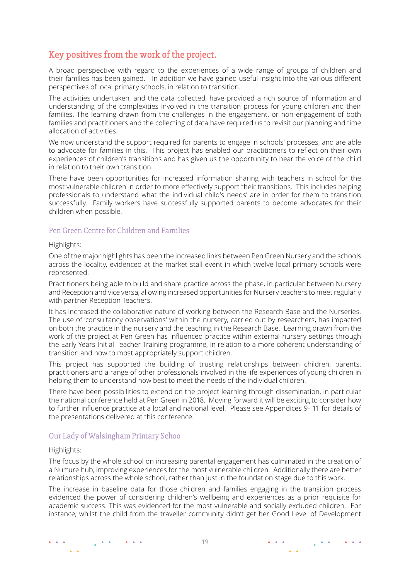# <span id="page-18-0"></span>Key positives from the work of the project.

A broad perspective with regard to the experiences of a wide range of groups of children and their families has been gained. In addition we have gained useful insight into the various different perspectives of local primary schools, in relation to transition.

The activities undertaken, and the data collected, have provided a rich source of information and understanding of the complexities involved in the transition process for young children and their families. The learning drawn from the challenges in the engagement, or non-engagement of both families and practitioners and the collecting of data have required us to revisit our planning and time allocation of activities.

We now understand the support required for parents to engage in schools' processes, and are able to advocate for families in this. This project has enabled our practitioners to reflect on their own experiences of children's transitions and has given us the opportunity to hear the voice of the child in relation to their own transition.

There have been opportunities for increased information sharing with teachers in school for the most vulnerable children in order to more effectively support their transitions. This includes helping professionals to understand what the individual child's needs' are in order for them to transition successfully. Family workers have successfully supported parents to become advocates for their children when possible.

#### Pen Green Centre for Children and Families

Highlights:

One of the major highlights has been the increased links between Pen Green Nursery and the schools across the locality, evidenced at the market stall event in which twelve local primary schools were represented.

Practitioners being able to build and share practice across the phase, in particular between Nursery and Reception and vice versa, allowing increased opportunities for Nursery teachers to meet regularly with partner Reception Teachers.

It has increased the collaborative nature of working between the Research Base and the Nurseries. The use of 'consultancy observations' within the nursery, carried out by researchers, has impacted on both the practice in the nursery and the teaching in the Research Base. Learning drawn from the work of the project at Pen Green has influenced practice within external nursery settings through the Early Years Initial Teacher Training programme, in relation to a more coherent understanding of transition and how to most appropriately support children.

This project has supported the building of trusting relationships between children, parents, practitioners and a range of other professionals involved in the life experiences of young children in helping them to understand how best to meet the needs of the individual children.

There have been possibilities to extend on the project learning through dissemination, in particular the national conference held at Pen Green in 2018. Moving forward it will be exciting to consider how to further influence practice at a local and national level. Please see Appendices 9- 11 for details of the presentations delivered at this conference.

#### Our Lady of Walsingham Primary Schoo

#### Highlights:

The focus by the whole school on increasing parental engagement has culminated in the creation of a Nurture hub, improving experiences for the most vulnerable children. Additionally there are better relationships across the whole school, rather than just in the foundation stage due to this work.

The increase in baseline data for those children and families engaging in the transition process evidenced the power of considering children's wellbeing and experiences as a prior requisite for academic success. This was evidenced for the most vulnerable and socially excluded children. For instance, whilst the child from the traveller community didn't get her Good Level of Development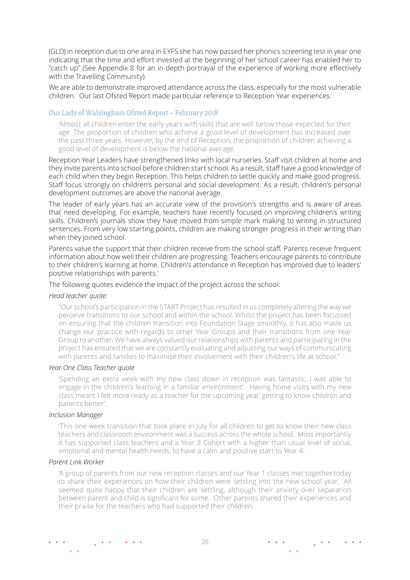(GLD) in reception due to one area in EYFS she has now passed her phonics screening test in year one indicating that the time and effort invested at the beginning of her school career has enabled her to "catch up" ([See Appendix](http://start.pei.si/wp-content/uploads/sites/11/2019/05/03_UK-app-8-1.pdf  ) 8 for an in-depth portrayal of the experience of working more effectively with the Travelling Community).

We are able to demonstrate improved attendance across the class, especially for the most vulnerable children. Our last Ofsted Report made particular reference to Reception Year experiences.

#### Our Lady of Walsingham Ofsted Report – February 2018

'Almost all children enter the early years with skills that are well below those expected for their age. The proportion of children who achieve a good level of development has increased over the past three years. However, by the end of Reception, the proportion of children achieving a good level of development is below the national average.

Reception Year Leaders have strengthened links with local nurseries. Staff visit children at home and they invite parents into school before children start school. As a result, staff have a good knowledge of each child when they begin Reception. This helps children to settle quickly and make good progress. Staff focus strongly on children's personal and social development. As a result, children's personal development outcomes are above the national average.

The leader of early years has an accurate view of the provision's strengths and is aware of areas that need developing. For example, teachers have recently focused on improving children's writing skills. Children's journals show they have moved from simple mark making to writing in structured sentences. From very low starting points, children are making stronger progress in their writing than when they joined school.

Parents value the support that their children receive from the school staff. Parents receive frequent information about how well their children are progressing. Teachers encourage parents to contribute to their children's learning at home. Children's attendance in Reception has improved due to leaders' positive relationships with parents.'

The following quotes evidence the impact of the project across the school:

#### *Head teacher quote:*

"Our school's participation in the START Project has resulted in us completely altering the way we perceive transitions to our school and within the school. Whilst the project has been focussed on ensuring that the children transition into Foundation Stage smoothly, it has also made us change our practice with regards to other Year Groups and their transitions from one Year Group to another. We have always valued our relationships with parents and participating in the project has ensured that we are constantly evaluating and adjusting our ways of communicating with parents and families to maximise their involvement with their children's life at school."

#### *Year One Class Teacher quote*

'Spending an extra week with my new class down in reception was fantastic, I was able to engage in the children's learning in a familiar environment'. Having home visits with my new class meant I felt more ready as a teacher for the upcoming year, getting to know children and parents better'.

#### *Inclusion Manager*

'This one week transition that took place in July for all children to get to know their new class teachers and classroom environment was a success across the whole school. Most importantly it has supported class teachers and a Year 3 Cohort with a higher than usual level of social, emotional and mental health needs, to have a calm and positive start to Year 4.

#### *Parent Link Worker*

 $\sim$   $\sim$ 

 $\frac{1}{2}$  ,  $\frac{1}{2}$  ,  $\frac{1}{2}$ 

'A group of parents from our new reception classes and our Year 1 classes met together today to share their experiences on how their children were settling into the new school year. All seemed quite happy that their children are settling, although their anxiety over separation between parent and child is significant for some. Other parents shared their experiences and their praise for the teachers who had supported their children.

 $\bullet \qquad \bullet \qquad \bullet$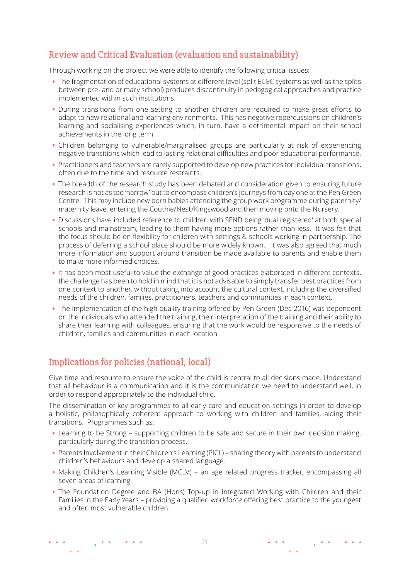# <span id="page-20-0"></span>Review and Critical Evaluation (evaluation and sustainability)

Through working on the project we were able to identify the following critical issues:

- The fragmentation of educational systems at different level (split ECEC systems as well as the splits between pre- and primary school) produces discontinuity in pedagogical approaches and practice implemented within such institutions.
- During transitions from one setting to another children are required to make great efforts to adapt to new relational and learning environments. This has negative repercussions on children's learning and socialising experiences which, in turn, have a detrimental impact on their school achievements in the long term.
- Children belonging to vulnerable/marginalised groups are particularly at risk of experiencing negative transitions which lead to lasting relational difficulties and poor educational performance.
- Practitioners and teachers are rarely supported to develop new practices for individual transitions, often due to the time and resource restraints.
- The breadth of the research study has been debated and consideration given to ensuring future research is not as too 'narrow' but to encompass children's journeys from day one at the Pen Green Centre. This may include new born babies attending the group work programme during paternity/ maternity leave, entering the Couthie/Nest/Kingswood and then moving onto the Nursery.
- Discussions have included reference to children with SEND being 'dual registered' at both special schools and mainstream, leading to them having more options rather than less. It was felt that the focus should be on flexibility for children with settings & schools working in partnership. The process of deferring a school place should be more widely known. It was also agreed that much more information and support around transition be made available to parents and enable them to make more informed choices.
- It has been most useful to value the exchange of good practices elaborated in different contexts, the challenge has been to hold in mind that it is not advisable to simply transfer best practices from one context to another, without taking into account the cultural context, including the diversified needs of the children, families, practitioners, teachers and communities in each context.
- The implementation of the high quality training offered by Pen Green (Dec 2016) was dependent on the individuals who attended the training, their interpretation of the training and their ability to share their learning with colleagues, ensuring that the work would be responsive to the needs of children, families and communities in each location.

# Implications for policies (national, local)

 $\frac{1}{2}$  , where

**Contract Advised** 

 $\sim$   $\sim$ 

Give time and resource to ensure the voice of the child is central to all decisions made. Understand that all behaviour is a communication and it is the communication we need to understand well, in order to respond appropriately to the individual child.

The dissemination of key programmes to all early care and education settings in order to develop a holistic, philosophically coherent approach to working with children and families, aiding their transitions. Programmes such as:

- Learning to be Strong supporting children to be safe and secure in their own decision making, particularly during the transition process.
- Parents Involvement in their Children's Learning (PICL) sharing theory with parents to understand children's behaviours and develop a shared language.
- Making Children's Learning Visible (MCLV) an age related progress tracker, encompassing all seven areas of learning.
- The Foundation Degree and BA (Hons) Top-up in Integrated Working with Children and their Families in the Early Years – providing a qualified workforce offering best practice to the youngest and often most vulnerable children.

 $\begin{array}{cccccccccc} \bullet & \bullet & \bullet & \bullet \end{array}$ 

 $\mathbf{A}$  and  $\mathbf{A}$ 

 $\bullet$   $\bullet$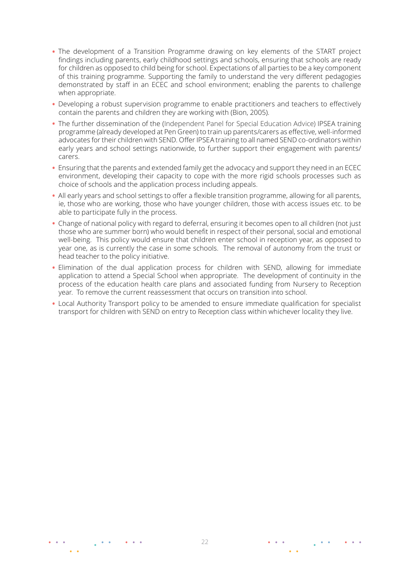- The development of a Transition Programme drawing on key elements of the START project findings including parents, early childhood settings and schools, ensuring that schools are ready for children as opposed to child being for school. Expectations of all parties to be a key component of this training programme. Supporting the family to understand the very different pedagogies demonstrated by staff in an ECEC and school environment; enabling the parents to challenge when appropriate.
- Developing a robust supervision programme to enable practitioners and teachers to effectively contain the parents and children they are working with (Bion, 2005).
- The further dissemination of the (Independent Panel for Special Education Advice) IPSEA training programme (already developed at Pen Green) to train up parents/carers as effective, well-informed advocates for their children with SEND. Offer IPSEA training to all named SEND co-ordinators within early years and school settings nationwide, to further support their engagement with parents/ carers.
- Ensuring that the parents and extended family get the advocacy and support they need in an ECEC environment, developing their capacity to cope with the more rigid schools processes such as choice of schools and the application process including appeals.
- All early years and school settings to offer a flexible transition programme, allowing for all parents, ie, those who are working, those who have younger children, those with access issues etc. to be able to participate fully in the process.
- Change of national policy with regard to deferral, ensuring it becomes open to all children (not just those who are summer born) who would benefit in respect of their personal, social and emotional well-being. This policy would ensure that children enter school in reception year, as opposed to year one, as is currently the case in some schools. The removal of autonomy from the trust or head teacher to the policy initiative.
- Elimination of the dual application process for children with SEND, allowing for immediate application to attend a Special School when appropriate. The development of continuity in the process of the education health care plans and associated funding from Nursery to Reception year. To remove the current reassessment that occurs on transition into school.
- Local Authority Transport policy to be amended to ensure immediate qualification for specialist transport for children with SEND on entry to Reception class within whichever locality they live.